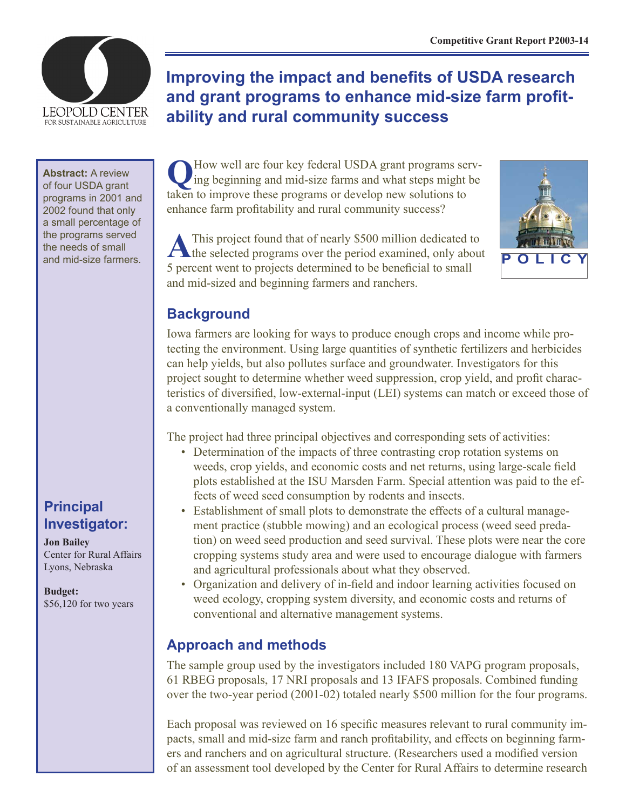

# **Improving the impact and benefits of USDA research and grant programs to enhance mid-size farm profitability and rural community success**

**Abstract:** A review of four USDA grant programs in 2001 and 2002 found that only a small percentage of the programs served the needs of small and mid-size farmers.

# **Principal Investigator:**

**Jon Bailey** Center for Rural Affairs Lyons, Nebraska

**Budget:** \$56,120 for two years

**Q**How well are four key federal USDA grant programs serv-ing beginning and mid-size farms and what steps might be taken to improve these programs or develop new solutions to enhance farm profitability and rural community success?

A This project found that of nearly \$500 million dedicated to the selected programs over the period examined, only about 5 percent went to projects determined to be beneficial to small and mid-sized and beginning farmers and ranchers.



# **Background**

Iowa farmers are looking for ways to produce enough crops and income while protecting the environment. Using large quantities of synthetic fertilizers and herbicides can help yields, but also pollutes surface and groundwater. Investigators for this project sought to determine whether weed suppression, crop yield, and profit characteristics of diversified, low-external-input (LEI) systems can match or exceed those of a conventionally managed system.

The project had three principal objectives and corresponding sets of activities:

- Determination of the impacts of three contrasting crop rotation systems on weeds, crop yields, and economic costs and net returns, using large-scale field plots established at the ISU Marsden Farm. Special attention was paid to the effects of weed seed consumption by rodents and insects.
- Establishment of small plots to demonstrate the effects of a cultural management practice (stubble mowing) and an ecological process (weed seed predation) on weed seed production and seed survival. These plots were near the core cropping systems study area and were used to encourage dialogue with farmers and agricultural professionals about what they observed.
- Organization and delivery of in-field and indoor learning activities focused on weed ecology, cropping system diversity, and economic costs and returns of conventional and alternative management systems.

# **Approach and methods**

The sample group used by the investigators included 180 VAPG program proposals, 61 RBEG proposals, 17 NRI proposals and 13 IFAFS proposals. Combined funding over the two-year period (2001-02) totaled nearly \$500 million for the four programs.

Each proposal was reviewed on 16 specific measures relevant to rural community impacts, small and mid-size farm and ranch profitability, and effects on beginning farmers and ranchers and on agricultural structure. (Researchers used a modified version of an assessment tool developed by the Center for Rural Affairs to determine research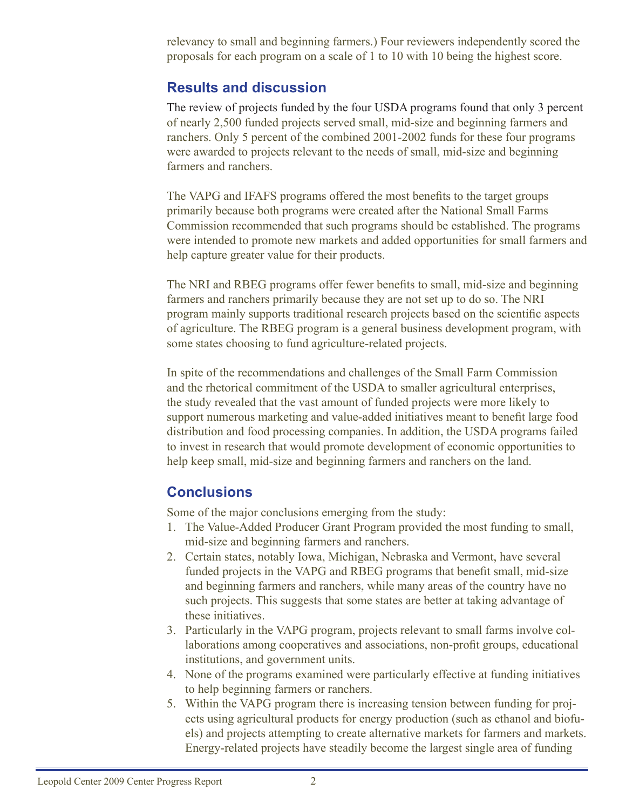relevancy to small and beginning farmers.) Four reviewers independently scored the proposals for each program on a scale of 1 to 10 with 10 being the highest score.

#### **Results and discussion**

The review of projects funded by the four USDA programs found that only 3 percent of nearly 2,500 funded projects served small, mid-size and beginning farmers and ranchers. Only 5 percent of the combined 2001-2002 funds for these four programs were awarded to projects relevant to the needs of small, mid-size and beginning farmers and ranchers.

The VAPG and IFAFS programs offered the most benefits to the target groups primarily because both programs were created after the National Small Farms Commission recommended that such programs should be established. The programs were intended to promote new markets and added opportunities for small farmers and help capture greater value for their products.

The NRI and RBEG programs offer fewer benefits to small, mid-size and beginning farmers and ranchers primarily because they are not set up to do so. The NRI program mainly supports traditional research projects based on the scientific aspects of agriculture. The RBEG program is a general business development program, with some states choosing to fund agriculture-related projects.

In spite of the recommendations and challenges of the Small Farm Commission and the rhetorical commitment of the USDA to smaller agricultural enterprises, the study revealed that the vast amount of funded projects were more likely to support numerous marketing and value-added initiatives meant to benefit large food distribution and food processing companies. In addition, the USDA programs failed to invest in research that would promote development of economic opportunities to help keep small, mid-size and beginning farmers and ranchers on the land.

### **Conclusions**

Some of the major conclusions emerging from the study:

- 1. The Value-Added Producer Grant Program provided the most funding to small, mid-size and beginning farmers and ranchers.
- 2. Certain states, notably Iowa, Michigan, Nebraska and Vermont, have several funded projects in the VAPG and RBEG programs that benefit small, mid-size and beginning farmers and ranchers, while many areas of the country have no such projects. This suggests that some states are better at taking advantage of these initiatives.
- 3. Particularly in the VAPG program, projects relevant to small farms involve collaborations among cooperatives and associations, non-profit groups, educational institutions, and government units.
- 4. None of the programs examined were particularly effective at funding initiatives to help beginning farmers or ranchers.
- 5. Within the VAPG program there is increasing tension between funding for projects using agricultural products for energy production (such as ethanol and biofuels) and projects attempting to create alternative markets for farmers and markets. Energy-related projects have steadily become the largest single area of funding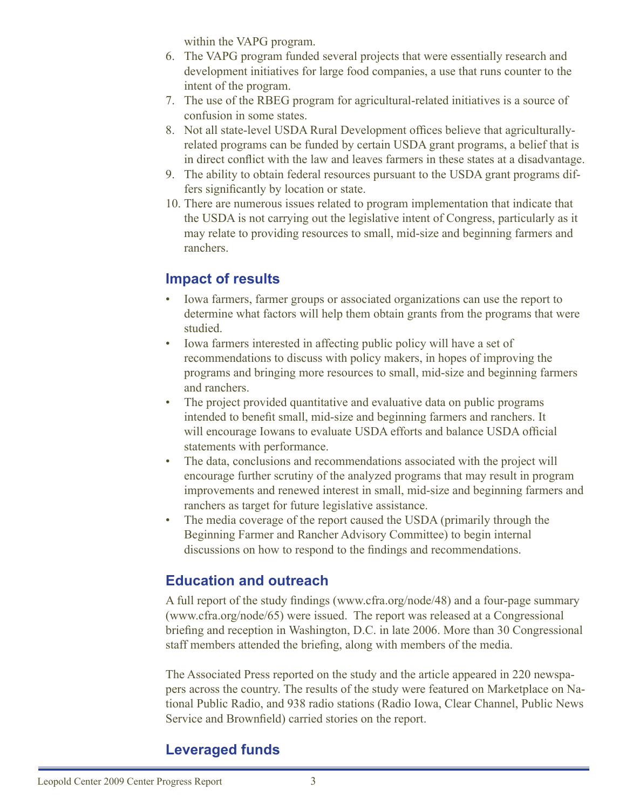within the VAPG program.

- 6. The VAPG program funded several projects that were essentially research and development initiatives for large food companies, a use that runs counter to the intent of the program.
- 7. The use of the RBEG program for agricultural-related initiatives is a source of confusion in some states.
- 8. Not all state-level USDA Rural Development offices believe that agriculturallyrelated programs can be funded by certain USDA grant programs, a belief that is in direct conflict with the law and leaves farmers in these states at a disadvantage.
- 9. The ability to obtain federal resources pursuant to the USDA grant programs differs significantly by location or state.
- 10. There are numerous issues related to program implementation that indicate that the USDA is not carrying out the legislative intent of Congress, particularly as it may relate to providing resources to small, mid-size and beginning farmers and ranchers.

### **Impact of results**

- Iowa farmers, farmer groups or associated organizations can use the report to determine what factors will help them obtain grants from the programs that were studied.
- Iowa farmers interested in affecting public policy will have a set of recommendations to discuss with policy makers, in hopes of improving the programs and bringing more resources to small, mid-size and beginning farmers and ranchers.
- The project provided quantitative and evaluative data on public programs intended to benefit small, mid-size and beginning farmers and ranchers. It will encourage Iowans to evaluate USDA efforts and balance USDA official statements with performance.
- The data, conclusions and recommendations associated with the project will encourage further scrutiny of the analyzed programs that may result in program improvements and renewed interest in small, mid-size and beginning farmers and ranchers as target for future legislative assistance.
- The media coverage of the report caused the USDA (primarily through the Beginning Farmer and Rancher Advisory Committee) to begin internal discussions on how to respond to the findings and recommendations.

### **Education and outreach**

A full report of the study findings (www.cfra.org/node/48) and a four-page summary (www.cfra.org/node/65) were issued. The report was released at a Congressional briefing and reception in Washington, D.C. in late 2006. More than 30 Congressional staff members attended the briefing, along with members of the media.

The Associated Press reported on the study and the article appeared in 220 newspapers across the country. The results of the study were featured on Marketplace on National Public Radio, and 938 radio stations (Radio Iowa, Clear Channel, Public News Service and Brownfield) carried stories on the report.

### **Leveraged funds**